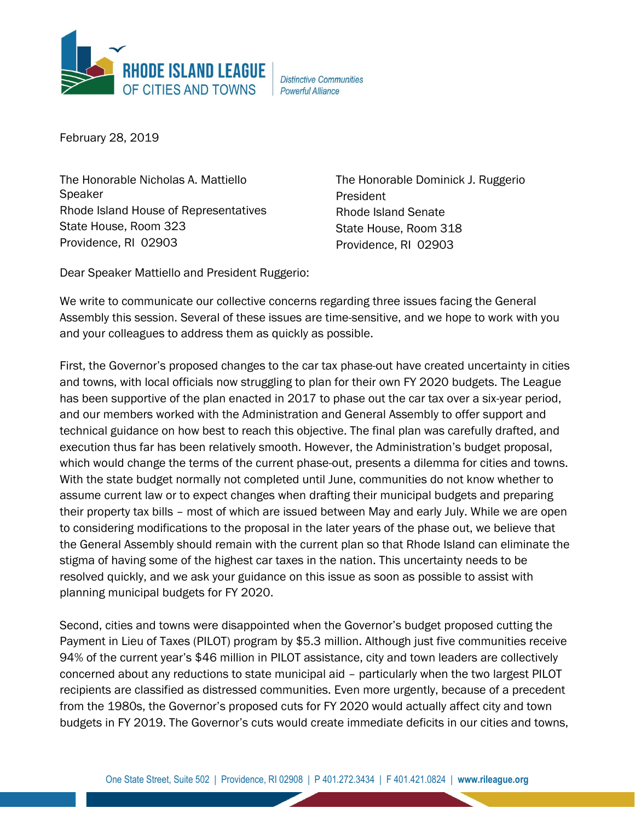

**Distinctive Communities Powerful Alliance** 

February 28, 2019

The Honorable Nicholas A. Mattiello Speaker Rhode Island House of Representatives State House, Room 323 Providence, RI 02903

The Honorable Dominick J. Ruggerio President Rhode Island Senate State House, Room 318 Providence, RI 02903

Dear Speaker Mattiello and President Ruggerio:

We write to communicate our collective concerns regarding three issues facing the General Assembly this session. Several of these issues are time-sensitive, and we hope to work with you and your colleagues to address them as quickly as possible.

First, the Governor's proposed changes to the car tax phase-out have created uncertainty in cities and towns, with local officials now struggling to plan for their own FY 2020 budgets. The League has been supportive of the plan enacted in 2017 to phase out the car tax over a six-year period, and our members worked with the Administration and General Assembly to offer support and technical guidance on how best to reach this objective. The final plan was carefully drafted, and execution thus far has been relatively smooth. However, the Administration's budget proposal, which would change the terms of the current phase-out, presents a dilemma for cities and towns. With the state budget normally not completed until June, communities do not know whether to assume current law or to expect changes when drafting their municipal budgets and preparing their property tax bills – most of which are issued between May and early July. While we are open to considering modifications to the proposal in the later years of the phase out, we believe that the General Assembly should remain with the current plan so that Rhode Island can eliminate the stigma of having some of the highest car taxes in the nation. This uncertainty needs to be resolved quickly, and we ask your guidance on this issue as soon as possible to assist with planning municipal budgets for FY 2020.

Second, cities and towns were disappointed when the Governor's budget proposed cutting the Payment in Lieu of Taxes (PILOT) program by \$5.3 million. Although just five communities receive 94% of the current year's \$46 million in PILOT assistance, city and town leaders are collectively concerned about any reductions to state municipal aid – particularly when the two largest PILOT recipients are classified as distressed communities. Even more urgently, because of a precedent from the 1980s, the Governor's proposed cuts for FY 2020 would actually affect city and town budgets in FY 2019. The Governor's cuts would create immediate deficits in our cities and towns,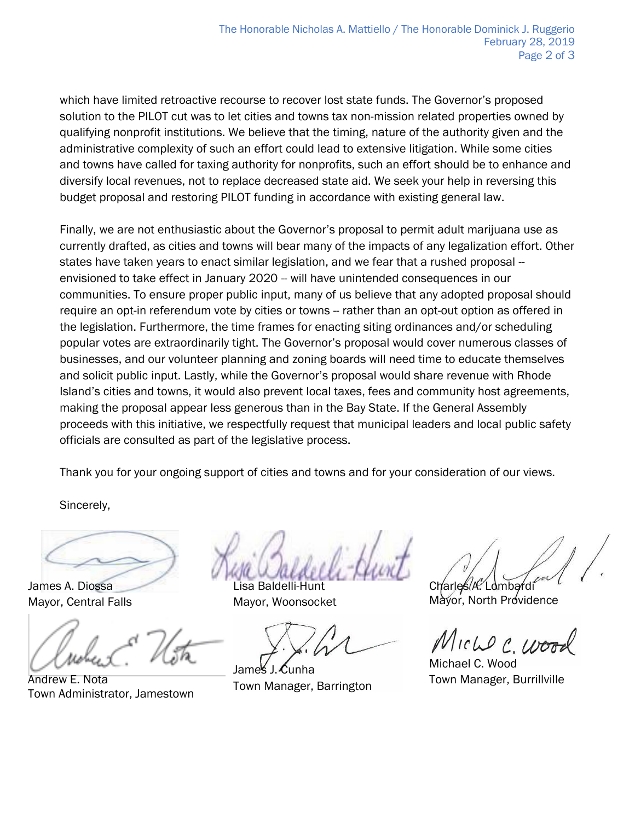which have limited retroactive recourse to recover lost state funds. The Governor's proposed solution to the PILOT cut was to let cities and towns tax non-mission related properties owned by qualifying nonprofit institutions. We believe that the timing, nature of the authority given and the administrative complexity of such an effort could lead to extensive litigation. While some cities and towns have called for taxing authority for nonprofits, such an effort should be to enhance and diversify local revenues, not to replace decreased state aid. We seek your help in reversing this budget proposal and restoring PILOT funding in accordance with existing general law.

Finally, we are not enthusiastic about the Governor's proposal to permit adult marijuana use as currently drafted, as cities and towns will bear many of the impacts of any legalization effort. Other states have taken years to enact similar legislation, and we fear that a rushed proposal -envisioned to take effect in January 2020 -- will have unintended consequences in our communities. To ensure proper public input, many of us believe that any adopted proposal should require an opt-in referendum vote by cities or towns -- rather than an opt-out option as offered in the legislation. Furthermore, the time frames for enacting siting ordinances and/or scheduling popular votes are extraordinarily tight. The Governor's proposal would cover numerous classes of businesses, and our volunteer planning and zoning boards will need time to educate themselves and solicit public input. Lastly, while the Governor's proposal would share revenue with Rhode Island's cities and towns, it would also prevent local taxes, fees and community host agreements, making the proposal appear less generous than in the Bay State. If the General Assembly proceeds with this initiative, we respectfully request that municipal leaders and local public safety officials are consulted as part of the legislative process.

Thank you for your ongoing support of cities and towns and for your consideration of our views.

Sincerely,

James A. Diossa Mayor, Central Falls

Andrew E. Nota Town Administrator, Jamestown

Lisa Baldelli-Hunt Mayor, Woonsocket

James J. Cunha Town Manager, Barrington

Charles A. Lombardi

Mayor, North Providence

Miche C. Woo

Michael C. Wood Town Manager, Burrillville